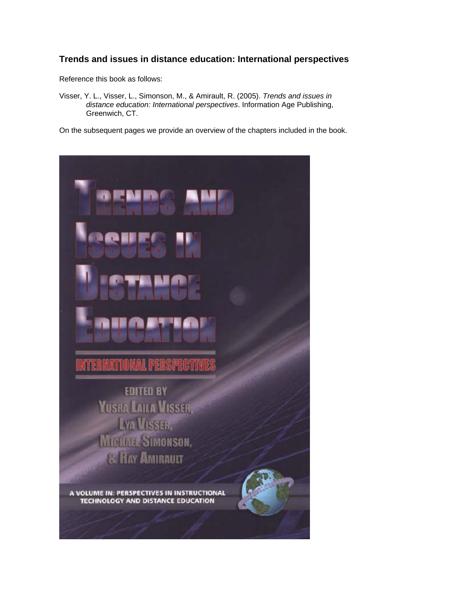#### **Trends and issues in distance education: International perspectives**

Reference this book as follows:

Visser, Y. L., Visser, L., Simonson, M., & Amirault, R. (2005). *Trends and issues in distance education: International perspectives*. Information Age Publishing, Greenwich, CT.

On the subsequent pages we provide an overview of the chapters included in the book.

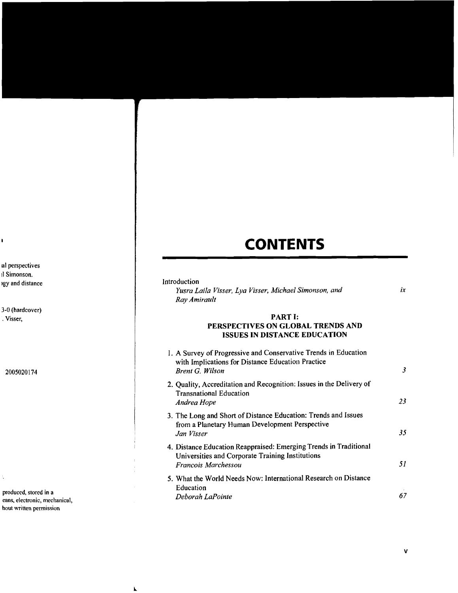# **CONTENTS**

| Introduction |  |
|--------------|--|
|              |  |

*Yusra Laila Visser, Lya Visser, Michael Simonson, and Ray Amirault* 

#### $ix$

## **PART I:**

## **PERSPECTIVES ON GLOBAL TRENDS AND ISSUES IN DISTANCE EDUCATION**

| 1. A Survey of Progressive and Conservative Trends in Education<br>with Implications for Distance Education Practice<br><b>Brent G. Wilson</b> | 3  |
|------------------------------------------------------------------------------------------------------------------------------------------------|----|
| 2. Quality, Accreditation and Recognition: Issues in the Delivery of<br><b>Transnational Education</b><br>Andrea Hope                          | 23 |
| 3. The Long and Short of Distance Education: Trends and Issues<br>from a Planetary Human Development Perspective<br>Jan Visser                 | 35 |
| 4. Distance Education Reappraised: Emerging Trends in Traditional<br>Universities and Corporate Training Institutions<br>Francois Marchessou   | 51 |
| 5. What the World Needs Now: International Research on Distance<br>Education<br>Deborah LaPointe                                               |    |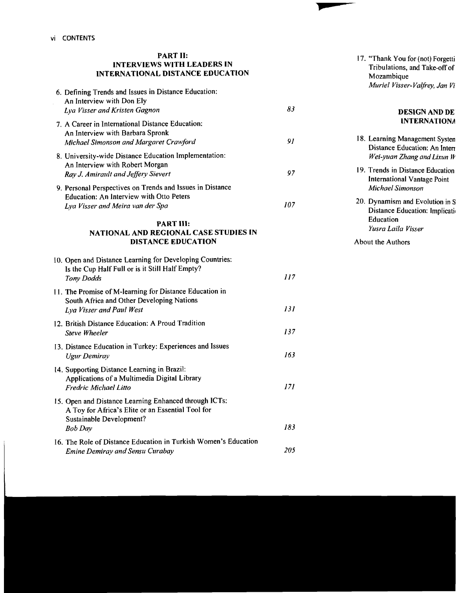#### **PART 11: lNTERV1EWS WITH LEADERS IN INTERNATIONAL DISTANCE EDUCATlON**

| 6. Defining Trends and Issues in Distance Education:<br>An Interview with Don Ely<br>Lya Visser and Kristen Gagnon                                       | 83   |
|----------------------------------------------------------------------------------------------------------------------------------------------------------|------|
| 7. A Career in International Distance Education:<br>An Interview with Barbara Spronk<br>Michael Simonson and Margaret Crawford                           | 91   |
| 8. University-wide Distance Education Implementation:<br>An Interview with Robert Morgan<br>Ray J. Amirault and Jeffery Sievert                          | 97   |
| 9. Personal Perspectives on Trends and Issues in Distance<br>Education: An Interview with Otto Peters<br>Lya Visser and Meira van der Spa                | 107  |
| <b>PART III:</b><br>NATIONAL AND REGIONAL CASE STUDIES IN<br><b>DISTANCE EDUCATION</b>                                                                   |      |
| 10. Open and Distance Learning for Developing Countries:<br>Is the Cup Half Full or is it Still Half Empty?<br>Tony Dodds                                | 117  |
| 11. The Promise of M-learning for Distance Education in<br>South Africa and Other Developing Nations<br>Lya Visser and Paul West                         | 131  |
| 12. British Distance Education: A Proud Tradition<br>Steve Wheeler                                                                                       | 137  |
| 13. Distance Education in Turkey: Experiences and Issues<br><b>Ugur Demiray</b>                                                                          | 163  |
| 14. Supporting Distance Learning in Brazil:<br>Applications of a Multimedia Digital Library<br><b>Fredric Michael Litto</b>                              | 171. |
| 15. Open and Distance Learning Enhanced through ICTs:<br>A Toy for Africa's Elite or an Essential Tool for<br>Sustainable Development?<br><b>Bob Day</b> | 183  |
| 16. The Role of Distance Education in Turkish Women's Education<br><b>Emine Demiray and Sensu Curabay</b>                                                | 205  |